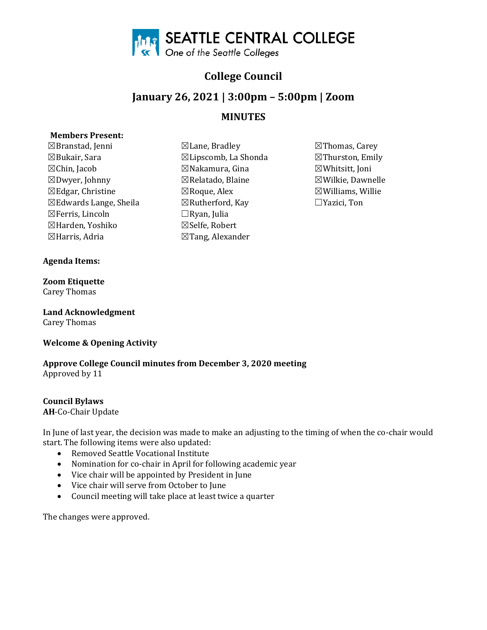

### **College Council**

# **January 26, 2021 | 3:00pm – 5:00pm | Zoom**

### **MINUTES**

#### **Members Present:**

☒Bukair, Sara ☒Lipscomb, La Shonda ☒Thurston, Emily ☒Chin, Jacob ☒Nakamura, Gina ☒Whitsitt, Joni  $\boxtimes$ Dwyer, Johnny  $\boxtimes$ Relatado, Blaine  $\boxtimes$ Wilkie, Dawnelle  $\boxtimes$ Edgar, Christine  $\boxtimes$ Roque, Alex  $\boxtimes$ Williams, Willie ☒Edwards Lange, Sheila ☒Rutherford, Kay ☐Yazici, Ton  $\boxtimes$ Ferris, Lincoln  $\Box$ Ryan, Julia ☒Harden, Yoshiko ☒Selfe, Robert  $\boxtimes$ Harris, Adria  $\boxtimes$ Tang, Alexander

#### **Agenda Items:**

## **Zoom Etiquette**

Carey Thomas

**Land Acknowledgment**  Carey Thomas

#### **Welcome & Opening Activity**

**Approve College Council minutes from December 3, 2020 meeting** Approved by 11

#### **Council Bylaws**

**AH**-Co-Chair Update

In June of last year, the decision was made to make an adjusting to the timing of when the co-chair would start. The following items were also updated:

- Removed Seattle Vocational Institute
- Nomination for co-chair in April for following academic year
- Vice chair will be appointed by President in June
- Vice chair will serve from October to June
- Council meeting will take place at least twice a quarter

The changes were approved.

- ☒Branstad, Jenni ☒Lane, Bradley ☒Thomas, Carey
	-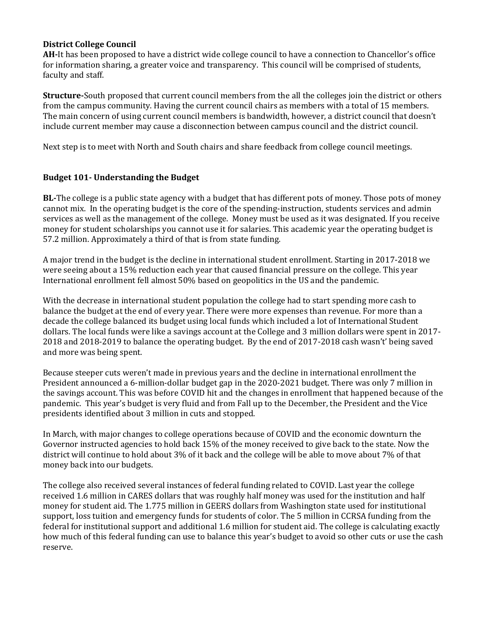#### **District College Council**

**AH-**It has been proposed to have a district wide college council to have a connection to Chancellor's office for information sharing, a greater voice and transparency. This council will be comprised of students, faculty and staff.

**Structure-**South proposed that current council members from the all the colleges join the district or others from the campus community. Having the current council chairs as members with a total of 15 members. The main concern of using current council members is bandwidth, however, a district council that doesn't include current member may cause a disconnection between campus council and the district council.

Next step is to meet with North and South chairs and share feedback from college council meetings.

#### **Budget 101- Understanding the Budget**

**BL-**The college is a public state agency with a budget that has different pots of money. Those pots of money cannot mix. In the operating budget is the core of the spending-instruction, students services and admin services as well as the management of the college. Money must be used as it was designated. If you receive money for student scholarships you cannot use it for salaries. This academic year the operating budget is 57.2 million. Approximately a third of that is from state funding.

A major trend in the budget is the decline in international student enrollment. Starting in 2017-2018 we were seeing about a 15% reduction each year that caused financial pressure on the college. This year International enrollment fell almost 50% based on geopolitics in the US and the pandemic.

With the decrease in international student population the college had to start spending more cash to balance the budget at the end of every year. There were more expenses than revenue. For more than a decade the college balanced its budget using local funds which included a lot of International Student dollars. The local funds were like a savings account at the College and 3 million dollars were spent in 2017- 2018 and 2018-2019 to balance the operating budget. By the end of 2017-2018 cash wasn't' being saved and more was being spent.

Because steeper cuts weren't made in previous years and the decline in international enrollment the President announced a 6-million-dollar budget gap in the 2020-2021 budget. There was only 7 million in the savings account. This was before COVID hit and the changes in enrollment that happened because of the pandemic. This year's budget is very fluid and from Fall up to the December, the President and the Vice presidents identified about 3 million in cuts and stopped.

In March, with major changes to college operations because of COVID and the economic downturn the Governor instructed agencies to hold back 15% of the money received to give back to the state. Now the district will continue to hold about 3% of it back and the college will be able to move about 7% of that money back into our budgets.

The college also received several instances of federal funding related to COVID. Last year the college received 1.6 million in CARES dollars that was roughly half money was used for the institution and half money for student aid. The 1.775 million in GEERS dollars from Washington state used for institutional support, loss tuition and emergency funds for students of color. The 5 million in CCRSA funding from the federal for institutional support and additional 1.6 million for student aid. The college is calculating exactly how much of this federal funding can use to balance this year's budget to avoid so other cuts or use the cash reserve.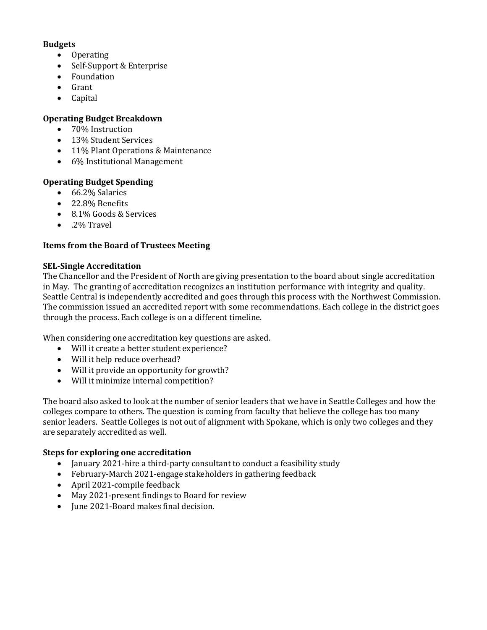#### **Budgets**

- Operating
- Self-Support & Enterprise
- Foundation
- Grant
- Capital

#### **Operating Budget Breakdown**

- 70% Instruction
- 13% Student Services
- 11% Plant Operations & Maintenance
- 6% Institutional Management

#### **Operating Budget Spending**

- 66.2% Salaries
- 22.8% Benefits
- 8.1% Goods & Services
- .2% Travel

#### **Items from the Board of Trustees Meeting**

#### **SEL-Single Accreditation**

The Chancellor and the President of North are giving presentation to the board about single accreditation in May. The granting of accreditation recognizes an institution performance with integrity and quality. Seattle Central is independently accredited and goes through this process with the Northwest Commission. The commission issued an accredited report with some recommendations. Each college in the district goes through the process. Each college is on a different timeline.

When considering one accreditation key questions are asked.

- Will it create a better student experience?
- Will it help reduce overhead?
- Will it provide an opportunity for growth?
- Will it minimize internal competition?

The board also asked to look at the number of senior leaders that we have in Seattle Colleges and how the colleges compare to others. The question is coming from faculty that believe the college has too many senior leaders. Seattle Colleges is not out of alignment with Spokane, which is only two colleges and they are separately accredited as well.

#### **Steps for exploring one accreditation**

- January 2021-hire a third-party consultant to conduct a feasibility study
- February-March 2021-engage stakeholders in gathering feedback
- April 2021-compile feedback
- May 2021-present findings to Board for review
- June 2021-Board makes final decision.